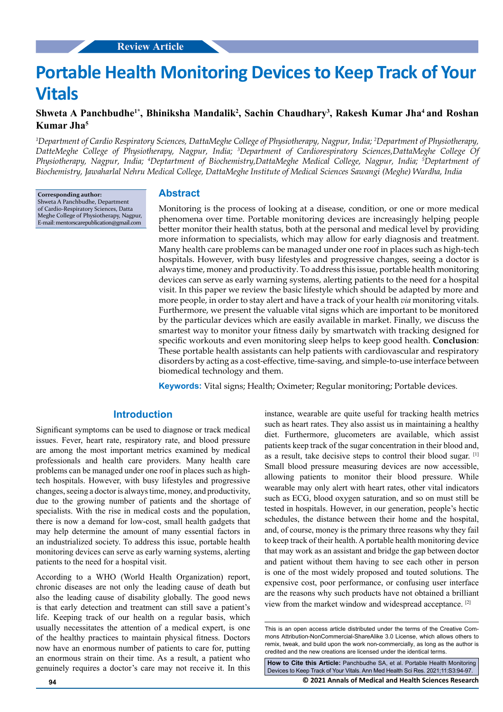# **Portable Health Monitoring Devices to Keep Track of Your Vitals**

## **Shweta A Panchbudhe1\*, Bhiniksha Mandalik2 , Sachin Chaudhary3 , Rakesh Kumar Jha4 and Roshan Kumar Jha5**

*1 Department of Cardio Respiratory Sciences, DattaMeghe College of Physiotherapy, Nagpur, India; 2 Department of Physiotherapy, DatteMeghe College of Physiotherapy, Nagpur, India; 3 Department of Cardiorespiratory Sciences,DattaMeghe College Of Physiotherapy, Nagpur, India; 4 Deptartment of Biochemistry,DattaMeghe Medical College, Nagpur, India; 5 Deptartment of Biochemistry, Jawaharlal Nehru Medical College, DattaMeghe Institute of Medical Sciences Sawangi (Meghe) Wardha, India*

**Corresponding author:** Shweta A Panchbudhe, Department of Cardio-Respiratory Sciences, Datta Meghe College of Physiotherapy, Nagpur, E-mail: mentorscarepublication@gmail.com

#### **Abstract**

Monitoring is the process of looking at a disease, condition, or one or more medical phenomena over time. Portable monitoring devices are increasingly helping people better monitor their health status, both at the personal and medical level by providing more information to specialists, which may allow for early diagnosis and treatment. Many health care problems can be managed under one roof in places such as high-tech hospitals. However, with busy lifestyles and progressive changes, seeing a doctor is always time, money and productivity. To address this issue, portable health monitoring devices can serve as early warning systems, alerting patients to the need for a hospital visit. In this paper we review the basic lifestyle which should be adapted by more and more people, in order to stay alert and have a track of your health *via* monitoring vitals. Furthermore, we present the valuable vital signs which are important to be monitored by the particular devices which are easily available in market. Finally, we discuss the smartest way to monitor your fitness daily by smartwatch with tracking designed for specific workouts and even monitoring sleep helps to keep good health. **Conclusion**: These portable health assistants can help patients with cardiovascular and respiratory disorders by acting as a cost-effective, time-saving, and simple-to-use interface between biomedical technology and them.

**Keywords:** Vital signs; Health; Oximeter; Regular monitoring; Portable devices.

## **Introduction**

Significant symptoms can be used to diagnose or track medical issues. Fever, heart rate, respiratory rate, and blood pressure are among the most important metrics examined by medical professionals and health care providers. Many health care problems can be managed under one roof in places such as hightech hospitals. However, with busy lifestyles and progressive changes, seeing a doctor is always time, money, and productivity, due to the growing number of patients and the shortage of specialists. With the rise in medical costs and the population, there is now a demand for low-cost, small health gadgets that may help determine the amount of many essential factors in an industrialized society. To address this issue, portable health monitoring devices can serve as early warning systems, alerting patients to the need for a hospital visit.

According to a WHO (World Health Organization) report, chronic diseases are not only the leading cause of death but also the leading cause of disability globally. The good news is that early detection and treatment can still save a patient's life. Keeping track of our health on a regular basis, which usually necessitates the attention of a medical expert, is one of the healthy practices to maintain physical fitness. Doctors now have an enormous number of patients to care for, putting an enormous strain on their time. As a result, a patient who genuinely requires a doctor's care may not receive it. In this instance, wearable are quite useful for tracking health metrics such as heart rates. They also assist us in maintaining a healthy diet. Furthermore, glucometers are available, which assist patients keep track of the sugar concentration in their blood and, as a result, take decisive steps to control their blood sugar. [1] Small blood pressure measuring devices are now accessible, allowing patients to monitor their blood pressure. While wearable may only alert with heart rates, other vital indicators such as ECG, blood oxygen saturation, and so on must still be tested in hospitals. However, in our generation, people's hectic schedules, the distance between their home and the hospital, and, of course, money is the primary three reasons why they fail to keep track of their health. A portable health monitoring device that may work as an assistant and bridge the gap between doctor and patient without them having to see each other in person is one of the most widely proposed and touted solutions. The expensive cost, poor performance, or confusing user interface are the reasons why such products have not obtained a brilliant view from the market window and widespread acceptance. [2]

**94 © 2021 Annals of Medical and Health Sciences Research How to Cite this Article:** Panchbudhe SA, et al. Portable Health Monitoring Devices to Keep Track of Your Vitals. Ann Med Health Sci Res. 2021;11:S3:94-97.

This is an open access article distributed under the terms of the Creative Commons Attribution-NonCommercial-ShareAlike 3.0 License, which allows others to remix, tweak, and build upon the work non‑commercially, as long as the author is credited and the new creations are licensed under the identical terms.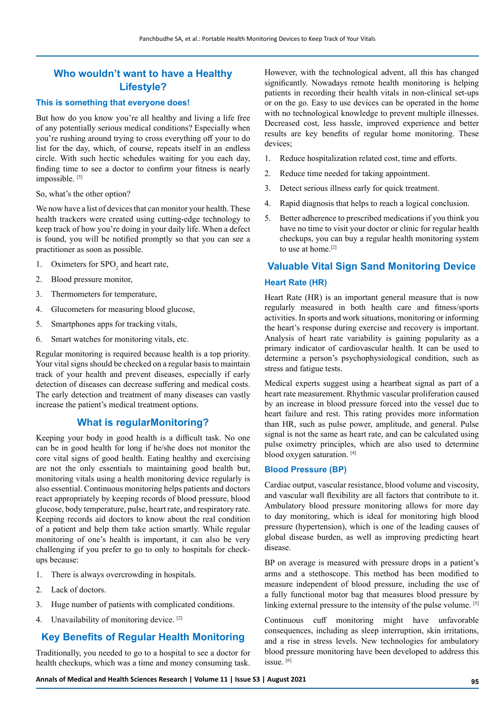## **Who wouldn't want to have a Healthy Lifestyle?**

#### **This is something that everyone does!**

But how do you know you're all healthy and living a life free of any potentially serious medical conditions? Especially when you're rushing around trying to cross everything off your to do list for the day, which, of course, repeats itself in an endless circle. With such hectic schedules waiting for you each day, finding time to see a doctor to confirm your fitness is nearly impossible.<sup>[3]</sup>

So, what's the other option?

We now have a list of devices that can monitor your health. These health trackers were created using cutting-edge technology to keep track of how you're doing in your daily life. When a defect is found, you will be notified promptly so that you can see a practitioner as soon as possible.

- 1. Oximeters for  $\text{SPO}_2$  and heart rate,
- 2. Blood pressure monitor,
- 3. Thermometers for temperature,
- 4. Glucometers for measuring blood glucose,
- 5. Smartphones apps for tracking vitals,
- 6. Smart watches for monitoring vitals, etc.

Regular monitoring is required because health is a top priority. Your vital signs should be checked on a regular basis to maintain track of your health and prevent diseases, especially if early detection of diseases can decrease suffering and medical costs. The early detection and treatment of many diseases can vastly increase the patient's medical treatment options.

## **What is regularMonitoring?**

Keeping your body in good health is a difficult task. No one can be in good health for long if he/she does not monitor the core vital signs of good health. Eating healthy and exercising are not the only essentials to maintaining good health but, monitoring vitals using a health monitoring device regularly is also essential. Continuous monitoring helps patients and doctors react appropriately by keeping records of blood pressure, blood glucose, body temperature, pulse, heart rate, and respiratory rate. Keeping records aid doctors to know about the real condition of a patient and help them take action smartly. While regular monitoring of one's health is important, it can also be very challenging if you prefer to go to only to hospitals for checkups because:

- 1. There is always overcrowding in hospitals.
- 2. Lack of doctors.
- 3. Huge number of patients with complicated conditions.
- 4. Unavailability of monitoring device. [2]

## **Key Benefits of Regular Health Monitoring**

Traditionally, you needed to go to a hospital to see a doctor for health checkups, which was a time and money consuming task. However, with the technological advent, all this has changed significantly. Nowadays remote health monitoring is helping patients in recording their health vitals in non-clinical set-ups or on the go. Easy to use devices can be operated in the home with no technological knowledge to prevent multiple illnesses. Decreased cost, less hassle, improved experience and better results are key benefits of regular home monitoring. These devices;

- 1. Reduce hospitalization related cost, time and efforts.
- 2. Reduce time needed for taking appointment.
- 3. Detect serious illness early for quick treatment.
- 4. Rapid diagnosis that helps to reach a logical conclusion.
- 5. Better adherence to prescribed medications if you think you have no time to visit your doctor or clinic for regular health checkups, you can buy a regular health monitoring system to use at home.[2]

## **Valuable Vital Sign Sand Monitoring Device**

#### **Heart Rate (HR)**

Heart Rate (HR) is an important general measure that is now regularly measured in both health care and fitness/sports activities. In sports and work situations, monitoring or informing the heart's response during exercise and recovery is important. Analysis of heart rate variability is gaining popularity as a primary indicator of cardiovascular health. It can be used to determine a person's psychophysiological condition, such as stress and fatigue tests.

Medical experts suggest using a heartbeat signal as part of a heart rate measurement. Rhythmic vascular proliferation caused by an increase in blood pressure forced into the vessel due to heart failure and rest. This rating provides more information than HR, such as pulse power, amplitude, and general. Pulse signal is not the same as heart rate, and can be calculated using pulse oximetry principles, which are also used to determine blood oxygen saturation. [4]

#### **Blood Pressure (BP)**

Cardiac output, vascular resistance, blood volume and viscosity, and vascular wall flexibility are all factors that contribute to it. Ambulatory blood pressure monitoring allows for more day to day monitoring, which is ideal for monitoring high blood pressure (hypertension), which is one of the leading causes of global disease burden, as well as improving predicting heart disease.

BP on average is measured with pressure drops in a patient's arms and a stethoscope. This method has been modified to measure independent of blood pressure, including the use of a fully functional motor bag that measures blood pressure by linking external pressure to the intensity of the pulse volume. [5]

Continuous cuff monitoring might have unfavorable consequences, including as sleep interruption, skin irritations, and a rise in stress levels. New technologies for ambulatory blood pressure monitoring have been developed to address this issue. [6]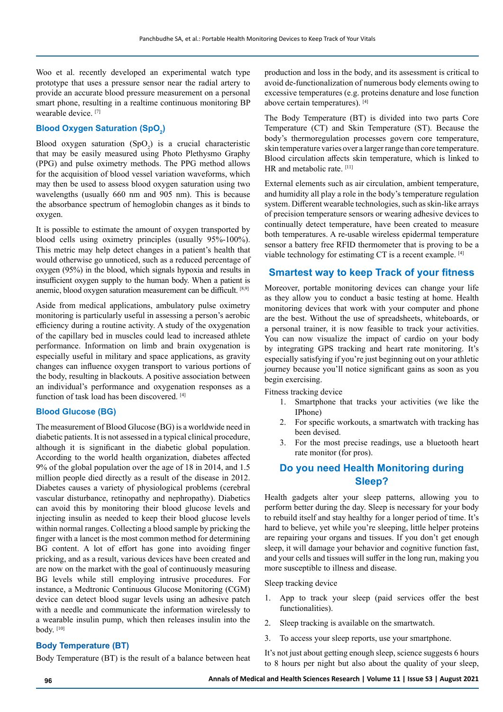Woo et al. recently developed an experimental watch type prototype that uses a pressure sensor near the radial artery to provide an accurate blood pressure measurement on a personal smart phone, resulting in a realtime continuous monitoring BP wearable device. [7]

## **Blood Oxygen Saturation (SpO<sup>2</sup> )**

Blood oxygen saturation  $(SpO<sub>2</sub>)$  is a crucial characteristic that may be easily measured using Photo Plethysmo Graphy (PPG) and pulse oximetry methods. The PPG method allows for the acquisition of blood vessel variation waveforms, which may then be used to assess blood oxygen saturation using two wavelengths (usually 660 nm and 905 nm). This is because the absorbance spectrum of hemoglobin changes as it binds to oxygen.

It is possible to estimate the amount of oxygen transported by blood cells using oximetry principles (usually 95%-100%). This metric may help detect changes in a patient's health that would otherwise go unnoticed, such as a reduced percentage of oxygen (95%) in the blood, which signals hypoxia and results in insufficient oxygen supply to the human body. When a patient is anemic, blood oxygen saturation measurement can be difficult. [8,9]

Aside from medical applications, ambulatory pulse oximetry monitoring is particularly useful in assessing a person's aerobic efficiency during a routine activity. A study of the oxygenation of the capillary bed in muscles could lead to increased athlete performance. Information on limb and brain oxygenation is especially useful in military and space applications, as gravity changes can influence oxygen transport to various portions of the body, resulting in blackouts. A positive association between an individual's performance and oxygenation responses as a function of task load has been discovered. [4]

#### **Blood Glucose (BG)**

The measurement of Blood Glucose (BG) is a worldwide need in diabetic patients. It is not assessed in a typical clinical procedure, although it is significant in the diabetic global population. According to the world health organization, diabetes affected 9% of the global population over the age of 18 in 2014, and 1.5 million people died directly as a result of the disease in 2012. Diabetes causes a variety of physiological problems (cerebral vascular disturbance, retinopathy and nephropathy). Diabetics can avoid this by monitoring their blood glucose levels and injecting insulin as needed to keep their blood glucose levels within normal ranges. Collecting a blood sample by pricking the finger with a lancet is the most common method for determining BG content. A lot of effort has gone into avoiding finger pricking, and as a result, various devices have been created and are now on the market with the goal of continuously measuring BG levels while still employing intrusive procedures. For instance, a Medtronic Continuous Glucose Monitoring (CGM) device can detect blood sugar levels using an adhesive patch with a needle and communicate the information wirelessly to a wearable insulin pump, which then releases insulin into the body. [10]

#### **Body Temperature (BT)**

Body Temperature (BT) is the result of a balance between heat

production and loss in the body, and its assessment is critical to avoid de-functionalization of numerous body elements owing to excessive temperatures (e.g. proteins denature and lose function above certain temperatures). [4]

The Body Temperature (BT) is divided into two parts Core Temperature (CT) and Skin Temperature (ST). Because the body's thermoregulation processes govern core temperature, skin temperature varies over a larger range than core temperature. Blood circulation affects skin temperature, which is linked to HR and metabolic rate. [11]

External elements such as air circulation, ambient temperature, and humidity all play a role in the body's temperature regulation system. Different wearable technologies, such as skin-like arrays of precision temperature sensors or wearing adhesive devices to continually detect temperature, have been created to measure both temperatures. A re-usable wireless epidermal temperature sensor a battery free RFID thermometer that is proving to be a viable technology for estimating CT is a recent example. [4]

#### **Smartest way to keep Track of your fitness**

Moreover, portable monitoring devices can change your life as they allow you to conduct a basic testing at home. Health monitoring devices that work with your computer and phone are the best. Without the use of spreadsheets, whiteboards, or a personal trainer, it is now feasible to track your activities. You can now visualize the impact of cardio on your body by integrating GPS tracking and heart rate monitoring. It's especially satisfying if you're just beginning out on your athletic journey because you'll notice significant gains as soon as you begin exercising.

Fitness tracking device

- 1. Smartphone that tracks your activities (we like the IPhone)
- 2. For specific workouts, a smartwatch with tracking has been devised.
- 3. For the most precise readings, use a bluetooth heart rate monitor (for pros).

## **Do you need Health Monitoring during Sleep?**

Health gadgets alter your sleep patterns, allowing you to perform better during the day. Sleep is necessary for your body to rebuild itself and stay healthy for a longer period of time. It's hard to believe, yet while you're sleeping, little helper proteins are repairing your organs and tissues. If you don't get enough sleep, it will damage your behavior and cognitive function fast, and your cells and tissues will suffer in the long run, making you more susceptible to illness and disease.

Sleep tracking device

- 1. App to track your sleep (paid services offer the best functionalities).
- 2. Sleep tracking is available on the smartwatch.
- 3. To access your sleep reports, use your smartphone.

It's not just about getting enough sleep, science suggests 6 hours to 8 hours per night but also about the quality of your sleep,